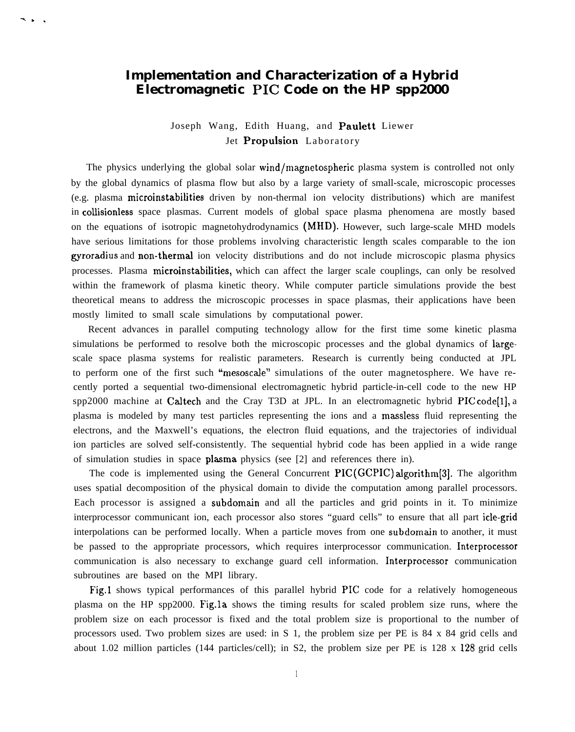## **Implementation and Characterization of a Hybrid Electromagnetic PIC Code on the HP spp2000**

-.. .

## Joseph Wang, Edith Huang, and Paulett Liewer Jet Propulsion Laboratory

The physics underlying the global solar wind/magnetospheric plasma system is controlled not only by the global dynamics of plasma flow but also by a large variety of small-scale, microscopic processes (e.g. plasma microinstabilities driven by non-thermal ion velocity distributions) which are manifest in collisionless space plasmas. Current models of global space plasma phenomena are mostly based on the equations of isotropic magnetohydrodynamics (MHD). However, such large-scale MHD models have serious limitations for those problems involving characteristic length scales comparable to the ion gyroradius and non-thermaJ ion velocity distributions and do not include microscopic plasma physics processes. Plasma microinstabilities, which can affect the larger scale couplings, can only be resolved within the framework of plasma kinetic theory. While computer particle simulations provide the best theoretical means to address the microscopic processes in space plasmas, their applications have been mostly limited to small scale simulations by computational power.

Recent advances in parallel computing technology allow for the first time some kinetic plasma simulations be performed to resolve both the microscopic processes and the global dynamics of largescale space plasma systems for realistic parameters. Research is currently being conducted at JPL to perform one of the first such "mesoscale" simulations of the outer magnetosphere. We have recently ported a sequential two-dimensional electromagnetic hybrid particle-in-cell code to the new HP spp2000 machine at Caltech and the Cray T3D at JPL. In an electromagnetic hybrid  $\text{PlC code}[1]$ , a plasma is modeled by many test particles representing the ions and a massless fluid representing the electrons, and the Maxwell's equations, the electron fluid equations, and the trajectories of individual ion particles are solved self-consistently. The sequential hybrid code has been applied in a wide range of simulation studies in space plasma physics (see [2] and references there in).

The code is implemented using the General Concurrent  $\text{PIC}(\text{GCPIC})$  algorithm [3]. The algorithm uses spatial decomposition of the physical domain to divide the computation among parallel processors. Each processor is assigned a subdomain and all the particles and grid points in it. To minimize interprocessor communicant ion, each processor also stores "guard cells" to ensure that all part icle-grid interpolations can be performed locally. When a particle moves from one subdomain to another, it must be passed to the appropriate processors, which requires interprocessor communication. Interprocessor communication is also necessary to exchange guard cell information. Interprocessor communication subroutines are based on the MPI library.

Fig.1 shows typical performances of this parallel hybrid PIC code for a relatively homogeneous plasma on the HP spp2000. Fig.la shows the timing results for scaled problem size runs, where the problem size on each processor is fixed and the total problem size is proportional to the number of processors used. Two problem sizes are used: in S 1, the problem size per PE is 84 x 84 grid cells and about 1.02 million particles (144 particles/cell); in S2, the problem size per PE is 128 x 128 grid cells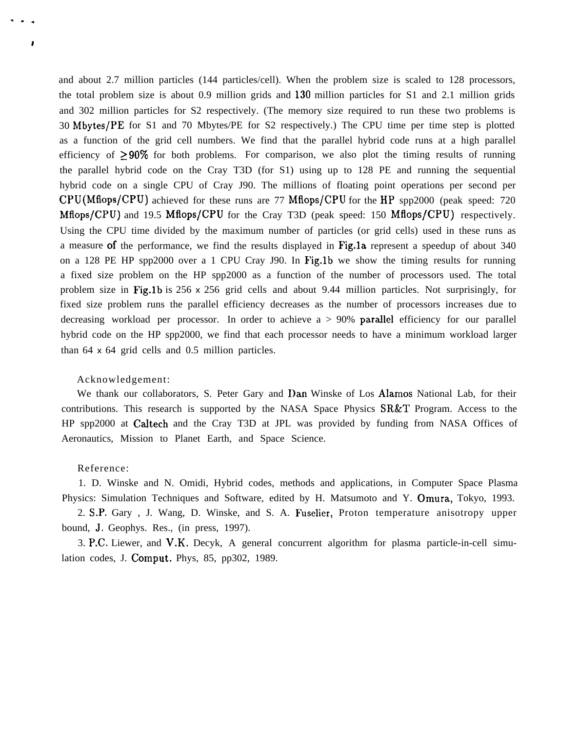and about 2.7 million particles (144 particles/cell). When the problem size is scaled to 128 processors, the total problem size is about 0.9 million grids and 130 million particles for S1 and 2.1 million grids and 302 million particles for S2 respectively. (The memory size required to run these two problems is 30 Mbytes/PE for S1 and 70 Mbytes/PE for S2 respectively.) The CPU time per time step is plotted as a function of the grid cell numbers. We find that the parallel hybrid code runs at a high parallel efficiency of  $\geq 90\%$  for both problems. For comparison, we also plot the timing results of running the parallel hybrid code on the Cray T3D (for S1) using up to 128 PE and running the sequential hybrid code on a single CPU of Cray J90. The millions of floating point operations per second per CPU (Mflops/CPU) achieved for these runs are 77 MfIops/CPU for the HP spp2000 (peak speed: 720 Mflops/CPU) and 19.5 Mflops/CPU for the Cray T3D (peak speed: 150 Mflops/CPU) respectively. Using the CPU time divided by the maximum number of particles (or grid cells) used in these runs as a measure of the performance, we find the results displayed in Fig.la represent a speedup of about 340 on a 128 PE HP spp2000 over a 1 CPU Cray J90. In Fig.1b we show the timing results for running a fixed size problem on the HP spp2000 as a function of the number of processors used. The total problem size in Fig.1b is  $256 \times 256$  grid cells and about 9.44 million particles. Not surprisingly, for fixed size problem runs the parallel efficiency decreases as the number of processors increases due to decreasing workload per processor. In order to achieve  $a > 90\%$  parallel efficiency for our parallel hybrid code on the HP spp2000, we find that each processor needs to have a minimum workload larger than 64 x 64 grid cells and 0.5 million particles.

## Acknowledgement:

We thank our collaborators, S. Peter Gary and Dan Winske of Los Alamos National Lab, for their contributions. This research is supported by the NASA Space Physics SR&T Program. Access to the HP spp2000 at Caltech and the Cray T3D at JPL was provided by funding from NASA Offices of Aeronautics, Mission to Planet Earth, and Space Science.

## Reference:

. . .

i

1. D. Winske and N. Omidi, Hybrid codes, methods and applications, in Computer Space Plasma Physics: Simulation Techniques and Software, edited by H. Matsumoto and Y. Omura, Tokyo, 1993.

2. S.P. Gary , J. Wang, D. Winske, and S. A. Fuselier, Proton temperature anisotropy upper bound, J, Geophys. Res., (in press, 1997).

3. P.C. Liewer, and V.K. Decyk, A general concurrent algorithm for plasma particle-in-cell simulation codes, J. Comput. Phys, 85, pp302, 1989.